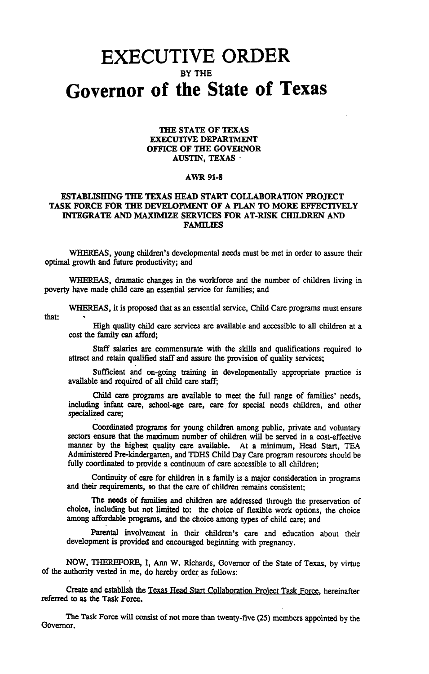## **EXECUTIVE ORDER** BY THE **Governor of the State of Texas**

## THE STATE OF TEXAS EXECUTIVE DEPARTMENT OFFICE OF THE GOVERNOR AUSTIN, TEXAS·

## AWR 91-8

## ESTABLISHING THE TEXAS HEAD START COLLABORATION PROJECT TASK FORCE FOR THE DEVELOPMENT OF A PLAN TO MORE EFFECTIVELY INTEGRATE AND MAXIMIZE SERVICES FOR AT-RISK CHILDREN AND **FAMILIES**

WHEREAS, young children's developmental needs must be met in order to assure their optimal growth and future productivity; and

WHEREAS, dramatic changes in the workforce and the number of children living in poverty have made child care an essential service for families; and

that:

WHEREAS, it is proposed that as an essential service, Child Care programs must ensure

High quality child care services are available and accessible to all children at a cost the family can afford;

Staff salaries are commensurate with the skills and qualifications required to attract and retain qualified staff and assure the provision of quality services;

Sufficient and on-going training in developmentally appropriate practice is available and required of all child care staff;

Child care programs are available to meet the full range of families' needs, including infant care, school-age care, care for special needs children, and other specialized care;

Coordinated programs for young children among public, private and voluntary sectors ensure that the maximum number of children will be served in a cost-effective manner by the highest quality care available. At a minimum, Head Start, TEA Administered Pre-kindergarten, and TDHS Child Day Care program resources should be fully coordinated to provide a continuum of care accessible to all children;

Continuity of care for children in a family is a major consideration in programs and their requirements, so that the care of children remains consistent;

The needs of families and children are addressed through the preservation of choice, including but not limited to: the choice of flexible work options, the choice among affordable programs, and the choice among types of child care; and

Parental involvement in their children's care and education about their development is provided and encouraged beginning with pregnancy.

NOW, THEREFORE, I, Ann W. Richards, Governor of the State of Texas, by virtue of the authority vested in me, do hereby order as follows:

Create and establish the Texas Head Start Collaboration Project Task FOrce, hereinafter referred to as the Task Force.

The Task Force will consist of not more than twenty-five (25) members appointed by the Governor.